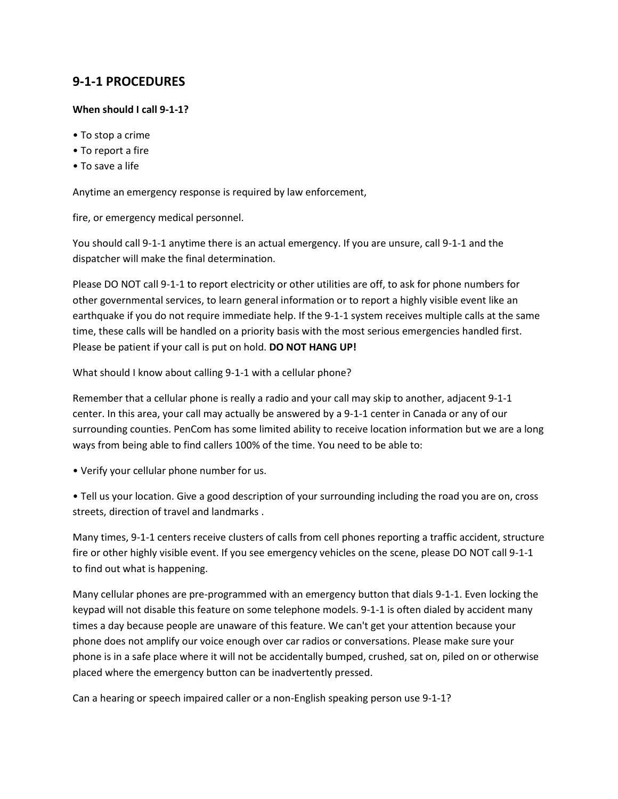## **9-1-1 PROCEDURES**

## **When should I call 9-1-1?**

- To stop a crime
- To report a fire
- To save a life

Anytime an emergency response is required by law enforcement,

fire, or emergency medical personnel.

You should call 9-1-1 anytime there is an actual emergency. If you are unsure, call 9-1-1 and the dispatcher will make the final determination.

Please DO NOT call 9-1-1 to report electricity or other utilities are off, to ask for phone numbers for other governmental services, to learn general information or to report a highly visible event like an earthquake if you do not require immediate help. If the 9-1-1 system receives multiple calls at the same time, these calls will be handled on a priority basis with the most serious emergencies handled first. Please be patient if your call is put on hold. **DO NOT HANG UP!**

What should I know about calling 9-1-1 with a cellular phone?

Remember that a cellular phone is really a radio and your call may skip to another, adjacent 9-1-1 center. In this area, your call may actually be answered by a 9-1-1 center in Canada or any of our surrounding counties. PenCom has some limited ability to receive location information but we are a long ways from being able to find callers 100% of the time. You need to be able to:

• Verify your cellular phone number for us.

• Tell us your location. Give a good description of your surrounding including the road you are on, cross streets, direction of travel and landmarks .

Many times, 9-1-1 centers receive clusters of calls from cell phones reporting a traffic accident, structure fire or other highly visible event. If you see emergency vehicles on the scene, please DO NOT call 9-1-1 to find out what is happening.

Many cellular phones are pre-programmed with an emergency button that dials 9-1-1. Even locking the keypad will not disable this feature on some telephone models. 9-1-1 is often dialed by accident many times a day because people are unaware of this feature. We can't get your attention because your phone does not amplify our voice enough over car radios or conversations. Please make sure your phone is in a safe place where it will not be accidentally bumped, crushed, sat on, piled on or otherwise placed where the emergency button can be inadvertently pressed.

Can a hearing or speech impaired caller or a non-English speaking person use 9-1-1?